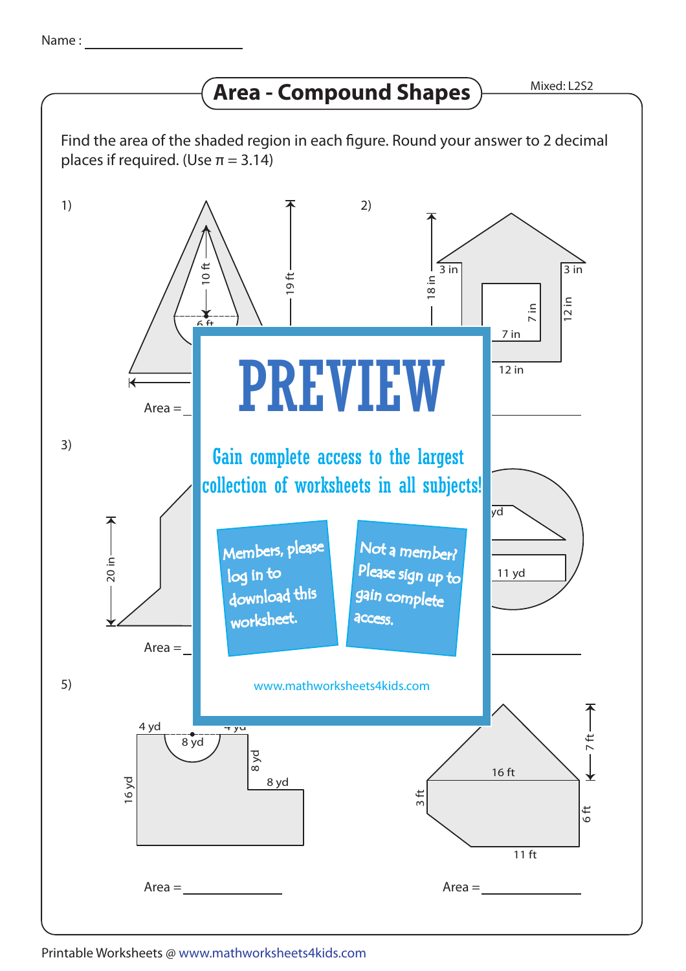## **Area - Compound Shapes**

Mixed: L2S2



## Printable Worksheets @ www.mathworksheets4kids.com